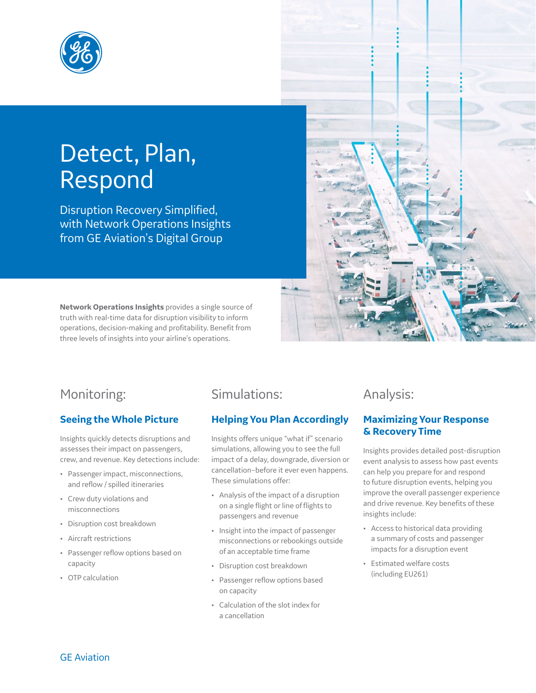

# Detect, Plan, Respond

Disruption Recovery Simplified, with Network Operations Insights from GE Aviation's Digital Group

**Network Operations Insights** provides a single source of truth with real-time data for disruption visibility to inform operations, decision-making and profitability. Benefit from three levels of insights into your airline's operations.



# Monitoring:

#### **Seeing the Whole Picture**

Insights quickly detects disruptions and assesses their impact on passengers, crew, and revenue. Key detections include:

- Passenger impact, misconnections, and reflow / spilled itineraries
- Crew duty violations and misconnections
- Disruption cost breakdown
- Aircraft restrictions
- Passenger reflow options based on capacity
- OTP calculation

# Simulations:

## **Helping You Plan Accordingly**

Insights offers unique "what if" scenario simulations, allowing you to see the full impact of a delay, downgrade, diversion or cancellation–before it ever even happens. These simulations offer:

- Analysis of the impact of a disruption on a single flight or line of flights to passengers and revenue
- Insight into the impact of passenger misconnections or rebookings outside of an acceptable time frame
- Disruption cost breakdown
- Passenger reflow options based on capacity
- Calculation of the slot index for a cancellation

## Analysis:

#### **Maximizing Your Response & Recovery Time**

Insights provides detailed post-disruption event analysis to assess how past events can help you prepare for and respond to future disruption events, helping you improve the overall passenger experience and drive revenue. Key benefits of these insights include:

- Access to historical data providing a summary of costs and passenger impacts for a disruption event
- Estimated welfare costs (including EU261)